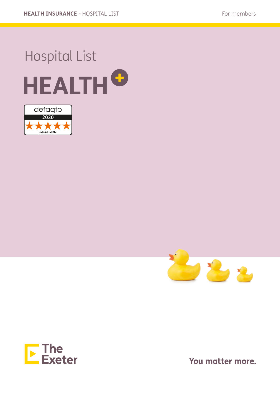# Hospital List **HEALTH<sup>O</sup>**







You matter more.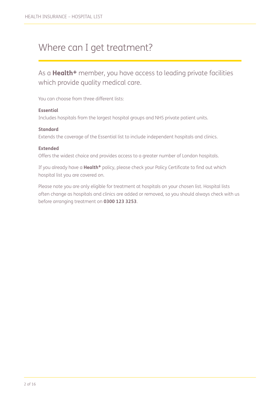### Where can I get treatment?

As a **Health+** member, you have access to leading private facilities which provide quality medical care.

You can choose from three different lists:

#### **Essential**

Includes hospitals from the largest hospital groups and NHS private patient units.

#### **Standard**

Extends the coverage of the Essential list to include independent hospitals and clinics.

#### **Extended**

Offers the widest choice and provides access to a greater number of London hospitals.

If you already have a **Health+** policy, please check your Policy Certificate to find out which hospital list you are covered on.

Please note you are only eligible for treatment at hospitals on your chosen list. Hospital lists often change as hospitals and clinics are added or removed, so you should always check with us before arranging treatment on **0300 123 3253**.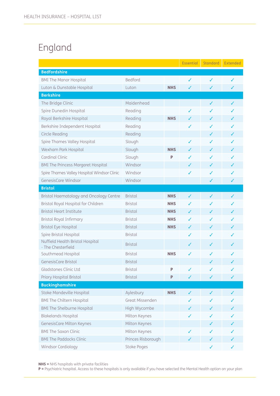### England

|                                                        |                    |            | <b>Essential</b> | Standard | <b>Extended</b> |
|--------------------------------------------------------|--------------------|------------|------------------|----------|-----------------|
| <b>Bedfordshire</b>                                    |                    |            |                  |          |                 |
| <b>BMI The Manor Hospital</b>                          | Bedford            |            | ✓                | ✓        | ✓               |
| Luton & Dunstable Hospital                             | Luton              | <b>NHS</b> | ✓                | ✓        | ✓               |
| <b>Berkshire</b>                                       |                    |            |                  |          |                 |
| The Bridge Clinic                                      | Maidenhead         |            |                  | ✓        | ✓               |
| Spire Dunedin Hospital                                 | Reading            |            | ✓                | J        | J               |
| Royal Berkshire Hospital                               | Reading            | <b>NHS</b> | ✓                | ✓        | J               |
| Berkshire Independent Hospital                         | Reading            |            | ✓                | J        | J               |
| Circle Reading                                         | Reading            |            |                  | ✓        | ✓               |
| Spire Thames Valley Hospital                           | Slough             |            | ✓                | ✓        | J               |
| Wexham Park Hospital                                   | Slough             | <b>NHS</b> | ✓                | ✓        | ✓               |
| Cardinal Clinic                                        | Slough             | P          | ✓                | J        |                 |
| <b>BMI The Princess Margaret Hospital</b>              | Windsor            |            | ✓                | ✓        | ✓               |
| Spire Thames Valley Hospital Windsor Clinic            | Windsor            |            | ✓                | ✓        | ✓               |
| GenesisCare Windsor                                    | Windsor            |            |                  | ✓        | ✓               |
| <b>Bristol</b>                                         |                    |            |                  |          |                 |
| Bristol Haematology and Oncology Centre                | <b>Bristol</b>     | <b>NHS</b> | $\checkmark$     | ✓        | ✓               |
| Bristol Royal Hospital for Children                    | <b>Bristol</b>     | <b>NHS</b> | ✓                | J        | ✓               |
| <b>Bristol Heart Institute</b>                         | <b>Bristol</b>     | <b>NHS</b> | ✓                | ✓        | ✓               |
| <b>Bristol Royal Infirmary</b>                         | <b>Bristol</b>     | <b>NHS</b> | ✓                | ✓        | ✓               |
| <b>Bristol Eye Hospital</b>                            | <b>Bristol</b>     | <b>NHS</b> | ✓                | ✓        | ✓               |
| Spire Bristol Hospital                                 | <b>Bristol</b>     |            | ✓                | ✓        | ✓               |
| Nuffield Health Bristol Hospital<br>- The Chesterfield | <b>Bristol</b>     |            | ✓                | ✓        | ✓               |
| Southmead Hospital                                     | <b>Bristol</b>     | <b>NHS</b> | ✓                | J        |                 |
| GenesisCare Bristol                                    | <b>Bristol</b>     |            |                  | ✓        |                 |
| Gladstones Clinic Ltd                                  | <b>Bristol</b>     | P          | ∕                | ∕        |                 |
| Priory Hospital Bristol                                | <b>Bristol</b>     | P          | ✓                | ✓        | ✓               |
| <b>Buckinghamshire</b>                                 |                    |            |                  |          |                 |
| Stoke Mandeville Hospital                              | Aylesbury          | <b>NHS</b> | ✓                | ✓        |                 |
| <b>BMI The Chiltern Hospital</b>                       | Great Missenden    |            |                  |          |                 |
| <b>BMI The Shelburne Hospital</b>                      | High Wycombe       |            |                  |          |                 |
| <b>Blakelands Hospital</b>                             | Milton Keynes      |            |                  |          |                 |
| GenesisCare Milton Keynes                              | Milton Keynes      |            |                  |          |                 |
| <b>BMI The Saxon Clinic</b>                            | Milton Keynes      |            |                  |          |                 |
| <b>BMI The Paddocks Clinic</b>                         | Princes Risborough |            |                  | ✓        |                 |
| Windsor Cardiology                                     | Stoke Poges        |            |                  | ✓        |                 |

NHS = NHS hospitals with private facilities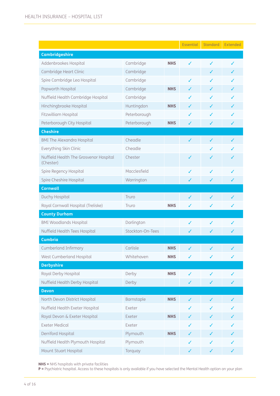|                                                     |                  |            | <b>Essential</b> | Standard | Extended |
|-----------------------------------------------------|------------------|------------|------------------|----------|----------|
| <b>Cambridgeshire</b>                               |                  |            |                  |          |          |
| Addenbrookes Hospital                               | Cambridge        | <b>NHS</b> | ✓                | ✓        | ✓        |
| Cambridge Heart Clinic                              | Cambridge        |            |                  | J        | J        |
| Spire Cambridge Lea Hospital                        | Cambridge        |            | ✓                | ✓        | ✓        |
| Papworth Hospital                                   | Cambridge        | <b>NHS</b> | ✓                | J        | ✓        |
| Nuffield Health Cambridge Hospital                  | Cambridge        |            | ✓                | ✓        | ✓        |
| Hinchingbrooke Hospital                             | Huntingdon       | <b>NHS</b> | ✓                | J        | ✓        |
| Fitzwilliam Hospital                                | Peterborough     |            | ✓                | J        | ✓        |
| Peterborough City Hospital                          | Peterborough     | <b>NHS</b> | ✓                | ✓        | ✓        |
| <b>Cheshire</b>                                     |                  |            |                  |          |          |
| <b>BMI The Alexandra Hospital</b>                   | Cheadle          |            | ✓                | J        | J        |
| Everything Skin Clinic                              | Cheadle          |            |                  | J        | ✓        |
| Nuffield Health The Grosvenor Hospital<br>(Chester) | Chester          |            | ✓                | ✓        |          |
| Spire Regency Hospital                              | Macclesfield     |            | ✓                | ✓        |          |
| Spire Cheshire Hospital                             | Warrington       |            | ✓                | J        |          |
| <b>Cornwall</b>                                     |                  |            |                  |          |          |
| Duchy Hospital                                      | Truro            |            | ✓                | ✓        | ✓        |
| Royal Cornwall Hospital (Treliske)                  | Truro            | <b>NHS</b> | ✓                | ✓        | ✓        |
| <b>County Durham</b>                                |                  |            |                  |          |          |
| <b>BMI Woodlands Hospital</b>                       | Darlington       |            | ✓                | ✓        | ✓        |
| Nuffield Health Tees Hospital                       | Stockton-On-Tees |            | ✓                | ✓        | ✓        |
| <b>Cumbria</b>                                      |                  |            |                  |          |          |
| <b>Cumberland Infirmary</b>                         | Carlisle         | <b>NHS</b> | ✓                | ✓        |          |
| West Cumberland Hospital                            | Whitehaven       | <b>NHS</b> | ✓                | ✓        | ✓        |
| <b>Derbyshire</b>                                   |                  |            |                  |          |          |
| Royal Derby Hospital                                | Derby            | <b>NHS</b> | ✓                | ✓        | ✓        |
| Nuffield Health Derby Hospital                      | Derby            |            | ✓                | ✓        | ✓        |
| <b>Devon</b>                                        |                  |            |                  |          |          |
| North Devon District Hospital                       | Barnstaple       | <b>NHS</b> | ✓                |          |          |
| Nuffield Health Exeter Hospital                     | Exeter           |            |                  | ✓        |          |
| Royal Devon & Exeter Hospital                       | Exeter           | <b>NHS</b> |                  | ✓        |          |
| <b>Exeter Medical</b>                               | Exeter           |            | ✓                | ✓        |          |
| Derriford Hospital                                  | Plymouth         | <b>NHS</b> |                  | ✓        |          |
| Nuffield Health Plymouth Hospital                   | Plymouth         |            | ✓                | ✓        |          |
| Mount Stuart Hospital                               | Torquay          |            | ✓                | ✓        | ✓        |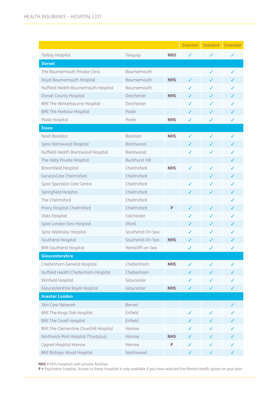|                                              |                       |            | <b>Essential</b> | <b>Standard</b> | <b>Extended</b> |
|----------------------------------------------|-----------------------|------------|------------------|-----------------|-----------------|
| <b>Torbay Hospital</b>                       | Torquay               | <b>NHS</b> | ✓                | ✓               | ✓               |
| <b>Dorset</b>                                |                       |            |                  |                 |                 |
| The Bournemouth Private Clinic               | <b>Bournemouth</b>    |            |                  | ✓               | ✓               |
| Royal Bournemouth Hospital                   | Bournemouth           | <b>NHS</b> | ✓                | ✓               | J               |
| Nuffield Health Bournemouth Hospital         | Bournemouth           |            | ✓                | ✓               |                 |
| Dorset County Hospital                       | Dorchester            | <b>NHS</b> | ✓                |                 |                 |
| <b>BMI The Winterbourne Hospital</b>         | Dorchester            |            | ✓                | ✓               | ✓               |
| <b>BMI The Harbour Hospital</b>              | Poole                 |            | ✓                | ✓               | ✓               |
| Poole Hospital                               | Poole                 | <b>NHS</b> | ✓                | ✓               | ✓               |
| <b>Essex</b>                                 |                       |            |                  |                 |                 |
| Nash Basildon                                | Basildon              | <b>NHS</b> | ✓                | ✓               | ✓               |
| Spire Hartswood Hospital                     | Brentwood             |            | ✓                | ✓               | ✓               |
| Nuffield Health Brentwood Hospital           | Brentwood             |            | ✓                | ✓               |                 |
| The Holly Private Hospital                   | <b>Buckhurst Hill</b> |            |                  |                 | ✓               |
| <b>Broomfield Hospital</b>                   | Chelmsford            | NHS        | ✓                | ✓               | ✓               |
| GenesisCare Chelmsford                       | Chelmsford            |            |                  | ✓               | ✓               |
| Spire Specialist Care Centre                 | Chelmsford            |            | ✓                |                 | ✓               |
| Springfield Hospital                         | Chelmsford            |            | ✓                | ✓               | ✓               |
| The Chelmsford                               | Chelmsford            |            |                  |                 | ✓               |
| Priory Hospital Chelmsford                   | Chelmsford            | P          | ✓                | J               | ✓               |
| Oaks Hospital                                | Colchester            |            | ✓                | ✓               | ✓               |
| Spire London East Hospital                   | Ilford                |            |                  |                 |                 |
| Spire Wellesley Hospital                     | Southend-On-Sea       |            |                  | J               | ✓               |
| Southend Hospital                            | Southend-On-Sea       | <b>NHS</b> |                  |                 |                 |
| <b>BMI Southend Hospital</b>                 | Westcliff-on-Sea      |            | ✓                | ✓               | ✓               |
| Gloucestershire                              |                       |            |                  |                 |                 |
| Cheltenham General Hospital                  | Cheltenham            | <b>NHS</b> | ✓                | ✓               | ✓               |
| Nuffield Health Cheltenham Hospital          | Cheltenham            |            |                  | J               |                 |
| Winfield Hospital                            | Gloucester            |            |                  | ✓               |                 |
| Gloucestershire Royal Hospital               | Gloucester            | <b>NHS</b> | ✓                | ✓               | ✓               |
| <b>Greater London</b>                        |                       |            |                  |                 |                 |
| <b>Skin Care Network</b>                     | <b>Barnet</b>         |            |                  |                 |                 |
| <b>BMI The Kings Oak Hospital</b>            | Enfield               |            | ✓                | J               |                 |
| <b>BMI The Cavell Hospital</b>               | Enfield               |            | ✓                | ✓               | J               |
| <b>BMI The Clementine Churchill Hospital</b> | Harrow                |            |                  |                 |                 |
| Northwick Park Hospital (Trustplus)          | Harrow                | <b>NHS</b> |                  |                 |                 |
| Cygnet Hospital Harrow                       | Harrow                | P          | ✓                | J               |                 |
| <b>BMI Bishops Wood Hospital</b>             | Northwood             |            | ✓                | ✓               |                 |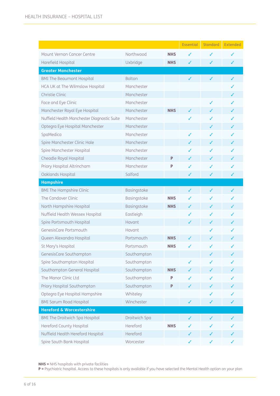|                                             |               |            | <b>Essential</b> | <b>Standard</b> | <b>Extended</b> |
|---------------------------------------------|---------------|------------|------------------|-----------------|-----------------|
| Mount Vernon Cancer Centre                  | Northwood     | <b>NHS</b> | ✓                | ✓               | J               |
| Harefield Hospital                          | Uxbridge      | <b>NHS</b> | ✓                | ✓               | ✓               |
| <b>Greater Manchester</b>                   |               |            |                  |                 |                 |
| <b>BMI The Beaumont Hospital</b>            | <b>Bolton</b> |            | ✓                | J               | ✓               |
| HCA UK at The Wilmslow Hospital             | Manchester    |            |                  |                 | ✓               |
| Christie Clinic                             | Manchester    |            |                  |                 | ✓               |
| Face and Eye Clinic                         | Manchester    |            |                  | ✓               | ✓               |
| Manchester Royal Eye Hospital               | Manchester    | <b>NHS</b> | ✓                |                 |                 |
| Nuffield Health Manchester Diagnostic Suite | Manchester    |            | ✓                | ✓               | ✓               |
| Optegra Eye Hospital Manchester             | Manchester    |            |                  | J               | ✓               |
| SpaMedica                                   | Manchester    |            | ✓                | ✓               | J               |
| Spire Manchester Clinic Hale                | Manchester    |            | ✓                | ✓               | ✓               |
| Spire Manchester Hospital                   | Manchester    |            |                  | ✓               |                 |
| Cheadle Royal Hospital                      | Manchester    | P          |                  | ✓               | ✓               |
| Priory Hospital Altrincham                  | Manchester    | P          | ✓                | ✓               |                 |
| Oaklands Hospital                           | Salford       |            | ✓                | J               | ✓               |
| <b>Hampshire</b>                            |               |            |                  |                 |                 |
| <b>BMI The Hampshire Clinic</b>             | Basingstoke   |            | ✓                | $\checkmark$    | J               |
| The Candover Clinic                         | Basingstoke   | <b>NHS</b> | ✓                | ✓               | ✓               |
| North Hampshire Hospital                    | Basingstoke   | <b>NHS</b> | ✓                | ✓               |                 |
| Nuffield Health Wessex Hospital             | Eastleigh     |            | ✓                | ✓               | ✓               |
| Spire Portsmouth Hospital                   | Havant        |            | ✓                | ✓               |                 |
| GenesisCare Portsmouth                      | Havant        |            |                  | J               | ✓               |
| Queen Alexandra Hospital                    | Portsmouth    | <b>NHS</b> | ✓                | ✓               | J               |
| St Mary's Hospital                          | Portsmouth    | <b>NHS</b> | J                | ✓               | ✓               |
| GenesisCare Southampton                     | Southampton   |            |                  | ✓               | ✓               |
| Spire Southampton Hospital                  | Southampton   |            | ✓                |                 |                 |
| Southampton General Hospital                | Southampton   | <b>NHS</b> |                  | ✓               |                 |
| The Manor Clinic Ltd                        | Southampton   | P          |                  | ✓               |                 |
| Priory Hospital Southampton                 | Southampton   | P          | ✓                | ✓               | ✓               |
| Optegra Eye Hospital Hampshire              | Whiteley      |            |                  | ✓               |                 |
| <b>BMI Sarum Road Hospital</b>              | Winchester    |            | ✓                | ✓               | ✓               |
| <b>Hereford &amp; Worcestershire</b>        |               |            |                  |                 |                 |
| <b>BMI The Droitwich Spa Hospital</b>       | Droitwich Spa |            | ✓                | ✓               |                 |
| Hereford County Hospital                    | Hereford      | <b>NHS</b> | J                | ✓               |                 |
| Nuffield Health Hereford Hospital           | Hereford      |            | ✓                | ✓               |                 |
| Spire South Bank Hospital                   | Worcester     |            | ✓                | ✓               | ✓               |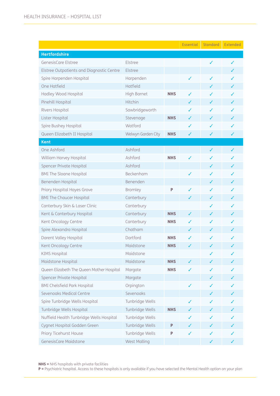|                                           |                     |            | <b>Essential</b> | Standard | <b>Extended</b> |
|-------------------------------------------|---------------------|------------|------------------|----------|-----------------|
| <b>Hertfordshire</b>                      |                     |            |                  |          |                 |
| GenesisCare Elstree                       | Elstree             |            |                  | ✓        | ✓               |
| Elstree Outpatients and Diagnostic Centre | Elstree             |            |                  |          |                 |
| Spire Harpenden Hospital                  | Harpenden           |            | ✓                | ✓        |                 |
| One Hatfield                              | Hatfield            |            |                  | ✓        | ✓               |
| Hadley Wood Hospital                      | <b>High Barnet</b>  | <b>NHS</b> | ✓                |          |                 |
| Pinehill Hospital                         | Hitchin             |            | ✓                | ✓        |                 |
| Rivers Hospital                           | Sawbridgeworth      |            | ✓                |          |                 |
| Lister Hospital                           | Stevenage           | <b>NHS</b> |                  |          |                 |
| Spire Bushey Hospital                     | Watford             |            | ✓                | ✓        | J               |
| Queen Elizabeth II Hospital               | Welwyn Garden City  | <b>NHS</b> | J                | ✓        | J               |
| <b>Kent</b>                               |                     |            |                  |          |                 |
| One Ashford                               | Ashford             |            |                  | ✓        |                 |
| William Harvey Hospital                   | Ashford             | <b>NHS</b> | ✓                |          |                 |
| Spencer Private Hospital                  | Ashford             |            |                  | ✓        |                 |
| <b>BMI The Sloane Hospital</b>            | Beckenham           |            | ✓                | J        |                 |
| Benenden Hospital                         | Benenden            |            |                  | ✓        | ✓               |
| Priory Hospital Hayes Grove               | Bromley             | P          | ✓                |          |                 |
| <b>BMI The Chaucer Hospital</b>           | Canterbury          |            | ✓                | ✓        | ✓               |
| Canterbury Skin & Laser Clinic            | Canterbury          |            |                  | ✓        |                 |
| Kent & Canterbury Hospital                | Canterbury          | <b>NHS</b> | ✓                |          |                 |
| Kent Oncology Centre                      | Canterbury          | <b>NHS</b> | ✓                | ✓        | ✓               |
| Spire Alexandra Hospital                  | Chatham             |            | ✓                | ✓        |                 |
| Darent Valley Hospital                    | Dartford            | <b>NHS</b> | ✓                |          |                 |
| Kent Oncology Centre                      | Maidstone           | <b>NHS</b> | ✓                | ✓        | ✓               |
| <b>KIMS Hospital</b>                      | Maidstone           |            |                  | ✓        | ✓               |
| Maidstone Hospital                        | Maidstone           | <b>NHS</b> | ✓                |          |                 |
| Queen Elizabeth The Queen Mother Hospital | Margate             | <b>NHS</b> | ✓                | ✓        | ✓               |
| Spencer Private Hospital                  | Margate             |            |                  | ✓        |                 |
| <b>BMI Chelsfield Park Hospital</b>       | Orpington           |            | ✓                |          |                 |
| Sevenoaks Medical Centre                  | Sevenoaks           |            |                  | ✓        | ✓               |
| Spire Tunbridge Wells Hospital            | Tunbridge Wells     |            | ✓                |          |                 |
| Tunbridge Wells Hospital                  | Tunbridge Wells     | <b>NHS</b> | ✓                |          |                 |
| Nuffield Health Tunbridge Wells Hospital  | Tunbridge Wells     |            |                  |          |                 |
| Cygnet Hospital Godden Green              | Tunbridge Wells     | P          | ✓                | ✓        | ✓               |
| Priory Ticehurst House                    | Tunbridge Wells     | P          | ✓                | ✓        |                 |
| GenesisCare Maidstone                     | <b>West Malling</b> |            |                  | ✓        | ✓               |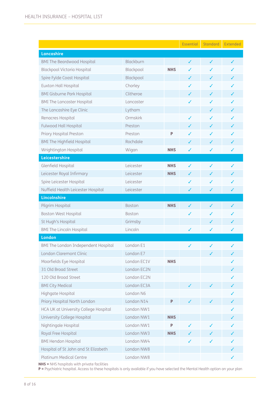|                                       |             |            | Essential | Standard | <b>Extended</b> |
|---------------------------------------|-------------|------------|-----------|----------|-----------------|
| Lancashire                            |             |            |           |          |                 |
| <b>BMI The Beardwood Hospital</b>     | Blackburn   |            | ✓         | ✓        | ✓               |
| <b>Blackpool Victoria Hospital</b>    | Blackpool   | <b>NHS</b> |           | ✓        |                 |
| Spire Fylde Coast Hospital            | Blackpool   |            | J         |          |                 |
| Euxton Hall Hospital                  | Chorley     |            | ✓         | ✓        | ✓               |
| <b>BMI Gisburne Park Hospital</b>     | Clitheroe   |            | J         | J        |                 |
| <b>BMI The Lancaster Hospital</b>     | Lancaster   |            | ✓         | ✓        | ✓               |
| The Lancashire Eye Clinic             | Lytham      |            |           | J        |                 |
| Renacres Hospital                     | Ormskirk    |            | ✓         |          |                 |
| <b>Fulwood Hall Hospital</b>          | Preston     |            |           | ✓        |                 |
| Priory Hospital Preston               | Preston     | P          |           | J        |                 |
| <b>BMI The Highfield Hospital</b>     | Rochdale    |            | ✓         | ✓        | ✓               |
| Wrightington Hospital                 | Wigan       | <b>NHS</b> | ✓         | ✓        | ✓               |
| Leicestershire                        |             |            |           |          |                 |
| Glenfield Hospital                    | Leicester   | <b>NHS</b> | ✓         | ✓        | ✓               |
| Leicester Royal Infirmary             | Leicester   | <b>NHS</b> | ✓         |          |                 |
| Spire Leicester Hospital              | Leicester   |            | ✓         | ✓        | ✓               |
| Nuffield Health Leicester Hospital    | Leicester   |            | ✓         | ✓        | ✓               |
| <b>Lincolnshire</b>                   |             |            |           |          |                 |
| Pilgrim Hospital                      | Boston      | <b>NHS</b> | ✓         | ✓        |                 |
| Boston West Hospital                  | Boston      |            | ✓         |          |                 |
| St Hugh's Hospital                    | Grimsby     |            |           | ✓        |                 |
| <b>BMI The Lincoln Hospital</b>       | Lincoln     |            | ✓         | ✓        | ✓               |
| <b>London</b>                         |             |            |           |          |                 |
| BMI The London Independent Hospital   | London E1   |            | ✓         | ✓        | ✓               |
| London Claremont Clinic               | London E7   |            |           |          | ✓               |
| Moorfields Eye Hospital               | London EC1V | <b>NHS</b> |           |          |                 |
| 31 Old Broad Street                   | London EC2N |            |           |          |                 |
| 120 Old Broad Street                  | London EC2N |            |           |          |                 |
| <b>BMI City Medical</b>               | London EC3A |            | ✓         | ✓        | ✓               |
| Highgate Hospital                     | London N6   |            |           |          |                 |
| Priory Hospital North London          | London N14  | P          |           |          | ✓               |
| HCA UK at University College Hospital | London NW1  |            |           |          | ✓               |
| University College Hospital           | London NW1  | <b>NHS</b> |           |          |                 |
| Nightingale Hospital                  | London NW1  | P          | ✓         | ✓        | ✓               |
| Royal Free Hospital                   | London NW3  | <b>NHS</b> |           |          |                 |
| <b>BMI Hendon Hospital</b>            | London NW4  |            | ✓         | ✓        | ✓               |
| Hospital of St John and St Elizabeth  | London NW8  |            |           |          | ✓               |
| Platinum Medical Centre               | London NW8  |            |           |          | ✓               |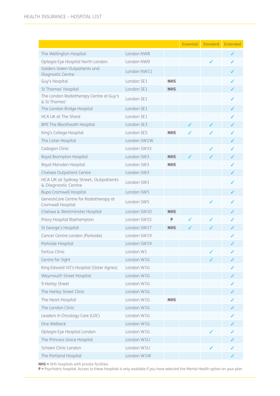|                                                             |             |            | <b>Essential</b> | <b>Standard</b> | <b>Extended</b> |
|-------------------------------------------------------------|-------------|------------|------------------|-----------------|-----------------|
| The Wellington Hospital                                     | London NW8  |            |                  |                 | ✓               |
| Optegra Eye Hospital North London                           | London NW9  |            |                  | ✓               | ✓               |
| Golders Green Outpatients and<br>Diagnostic Centre          | London NW11 |            |                  |                 | ✓               |
| Guy's Hospital                                              | London SE1  | <b>NHS</b> |                  |                 | ✓               |
| St Thomas' Hospital                                         | London SE1  | <b>NHS</b> |                  |                 |                 |
| The London Radiotherapy Centre at Guy's<br>& St Thomas'     | London SE1  |            |                  |                 |                 |
| The London Bridge Hospital                                  | London SE1  |            |                  |                 | ✓               |
| HCA UK at The Shard                                         | London SE1  |            |                  |                 |                 |
| <b>BMI The Blackheath Hospital</b>                          | London SE3  |            | $\checkmark$     | ✓               | ✓               |
| King's College Hospital                                     | London SE5  | <b>NHS</b> |                  |                 |                 |
| The Lister Hospital                                         | London SW1W |            |                  |                 | ✓               |
| Cadogan Clinic                                              | London SW1X |            |                  | ✓               | ✓               |
| Royal Brompton Hospital                                     | London SW3  | <b>NHS</b> |                  |                 |                 |
| Royal Marsden Hospital                                      | London SW3  | <b>NHS</b> |                  |                 | ✓               |
| Chelsea Outpatient Centre                                   | London SW3  |            |                  |                 | ✓               |
| HCA UK at Sydney Street, Outpatients<br>& Diagnostic Centre | London SW3  |            |                  |                 |                 |
| <b>Bupa Cromwell Hospital</b>                               | London SW5  |            |                  |                 | ✓               |
| GenesisCare Centre for Radiotherapy at<br>Cromwell Hospital | London SW5  |            |                  | ✓               |                 |
| Chelsea & Westminster Hospital                              | London SW10 | <b>NHS</b> |                  |                 |                 |
| Priory Hospital Roehampton                                  | London SW15 | P          | ✓                | ✓               | ✓               |
| St George's Hospital                                        | London SW17 | <b>NHS</b> |                  |                 |                 |
| Cancer Centre London (Parkside)                             | London SW19 |            |                  |                 |                 |
| Parkside Hospital                                           | London SW19 |            |                  |                 | ✓               |
| Fortius Clinic                                              | London W1   |            |                  |                 |                 |
| Centre for Sight                                            | London W1G  |            |                  |                 |                 |
| King Edward VII's Hospital (Sister Agnes)                   | London W1G  |            |                  |                 |                 |
| Weymouth Street Hospital                                    | London W1G  |            |                  |                 |                 |
| 9 Harley Street                                             | London W1G  |            |                  |                 |                 |
| The Harley Street Clinic                                    | London W1G  |            |                  |                 |                 |
| The Heart Hospital                                          | London W1G  | <b>NHS</b> |                  |                 |                 |
| The London Clinic                                           | London W1G  |            |                  |                 |                 |
| Leaders in Oncology Care (LOC)                              | London W1G  |            |                  |                 |                 |
| One Welbeck                                                 | London W1G  |            |                  |                 |                 |
| Optegra Eye Hospital London                                 | London W1G  |            |                  |                 |                 |
| The Princess Grace Hospital                                 | London W1U  |            |                  |                 |                 |
| Schoen Clinic London                                        | London W1U  |            |                  |                 |                 |
| The Portland Hospital                                       | London W1W  |            |                  |                 |                 |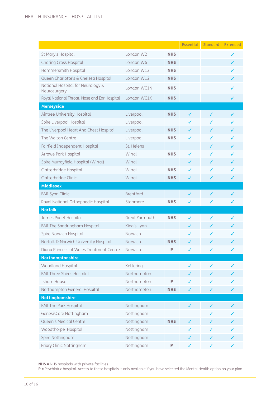|                                                              |                  |            | <b>Essential</b> | <b>Standard</b> | <b>Extended</b> |
|--------------------------------------------------------------|------------------|------------|------------------|-----------------|-----------------|
| St Mary's Hospital                                           | London W2        | <b>NHS</b> |                  |                 |                 |
| <b>Charing Cross Hospital</b>                                | London W6        | <b>NHS</b> |                  |                 | ✓               |
| Hammersmith Hospital                                         | London W12       | <b>NHS</b> |                  |                 | ✓               |
| Queen Charlotte's & Chelsea Hospital                         | London W12       | <b>NHS</b> |                  |                 | ✓               |
| National Hospital for Neurology &                            | London WC1N      | <b>NHS</b> |                  |                 |                 |
| Neurosurgery<br>Royal National Throat, Nose and Ear Hospital | London WC1X      | <b>NHS</b> |                  |                 | ✓               |
| <b>Merseyside</b>                                            |                  |            |                  |                 |                 |
| Aintree University Hospital                                  | Liverpool        | <b>NHS</b> | ✓                | ✓               | ✓               |
| Spire Liverpool Hospital                                     | Liverpool        |            |                  | ✓               | ✓               |
| The Liverpool Heart And Chest Hospital                       | Liverpool        | <b>NHS</b> | ✓                | ✓               | ✓               |
| The Walton Centre                                            | Liverpool        | <b>NHS</b> | ✓                | ✓               | ✓               |
| Fairfield Independent Hospital                               | St. Helens       |            |                  | ✓               | ✓               |
| Arrowe Park Hospital                                         | Wirral           | <b>NHS</b> | ✓                | ✓               | ✓               |
| Spire Murrayfield Hospital (Wirral)                          | Wirral           |            | ✓                | ✓               | ✓               |
| Clatterbridge Hospital                                       | Wirral           | <b>NHS</b> | ✓                | ✓               | ✓               |
| Clatterbridge Clinic                                         | Wirral           | <b>NHS</b> | ✓                | ✓               | ✓               |
| <b>Middlesex</b>                                             |                  |            |                  |                 |                 |
| <b>BMI Syon Clinic</b>                                       | <b>Brentford</b> |            | ✓                | ✓               | ✓               |
| Royal National Orthopaedic Hospital                          | Stanmore         | <b>NHS</b> | ✓                | ✓               | ✓               |
| <b>Norfolk</b>                                               |                  |            |                  |                 |                 |
| James Paget Hospital                                         | Great Yarmouth   | <b>NHS</b> | ✓                | ✓               | ✓               |
| <b>BMI The Sandringham Hospital</b>                          | King's Lynn      |            | ✓                | ✓               | ✓               |
| Spire Norwich Hospital                                       | Norwich          |            |                  | ✓               | ✓               |
| Norfolk & Norwich University Hospital                        | Norwich          | <b>NHS</b> |                  | ✓               |                 |
| Diana Princess of Wales Treatment Centre                     | Norwich          | P          | ✓                | ✓               |                 |
| Northamptonshire                                             |                  |            |                  |                 |                 |
| Woodland Hospital                                            | Kettering        |            | ✓                | ✓               |                 |
| <b>BMI Three Shires Hospital</b>                             | Northampton      |            |                  |                 |                 |
| <b>Isham House</b>                                           | Northampton      | P          |                  | ✓               |                 |
| Northampton General Hospital                                 | Northampton      | <b>NHS</b> | ✓                | ✓               |                 |
| <b>Nottinghamshire</b>                                       |                  |            |                  |                 |                 |
| <b>BMI The Park Hospital</b>                                 | Nottingham       |            | ✓                | ✓               |                 |
| GenesisCare Nottingham                                       | Nottingham       |            |                  | ✓               |                 |
| Queen's Medical Centre                                       | Nottingham       | <b>NHS</b> |                  |                 |                 |
| Woodthorpe Hospital                                          | Nottingham       |            |                  |                 |                 |
| Spire Nottingham                                             | Nottingham       |            |                  | ✓               |                 |
| Priory Clinic Nottingham                                     | Nottingham       | P          | ✓                | ✓               |                 |

**NHS** = NHS hospitals with private facilities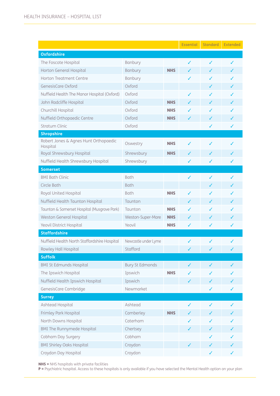|                                                   |                        |            | <b>Essential</b> | <b>Standard</b> | <b>Extended</b> |
|---------------------------------------------------|------------------------|------------|------------------|-----------------|-----------------|
| <b>Oxfordshire</b>                                |                        |            |                  |                 |                 |
| The Foscote Hospital                              | Banbury                |            | ✓                | ✓               | ✓               |
| Horton General Hospital                           | <b>Banbury</b>         | <b>NHS</b> | ✓                | ✓               | ✓               |
| Horton Treatment Centre                           | Banbury                |            | ✓                | ✓               |                 |
| GenesisCare Oxford                                | Oxford                 |            |                  | ✓               | ✓               |
| Nuffield Health The Manor Hospital (Oxford)       | Oxford                 |            | ✓                | J               | ✓               |
| John Radcliffe Hospital                           | Oxford                 | <b>NHS</b> | ✓                | ✓               | ✓               |
| Churchill Hospital                                | Oxford                 | <b>NHS</b> | ✓                |                 |                 |
| Nuffield Orthopaedic Centre                       | Oxford                 | <b>NHS</b> | ✓                | ✓               |                 |
| <b>Stratum Clinic</b>                             | Oxford                 |            |                  | ✓               | ✓               |
| <b>Shropshire</b>                                 |                        |            |                  |                 |                 |
| Robert Jones & Agnes Hunt Orthopaedic<br>Hospital | Oswestry               | <b>NHS</b> | ✓                | ✓               |                 |
| Royal Shrewsbury Hospital                         | Shrewsbury             | <b>NHS</b> | ✓                | ✓               | ✓               |
| Nuffield Health Shrewsbury Hospital               | Shrewsbury             |            | ✓                | ✓               | ✓               |
| <b>Somerset</b>                                   |                        |            |                  |                 |                 |
| <b>BMI Bath Clinic</b>                            | <b>Bath</b>            |            | ✓                | ✓               | ✓               |
| Circle Bath                                       | <b>Bath</b>            |            |                  | ✓               | ✓               |
| Royal United Hospital                             | <b>Bath</b>            | <b>NHS</b> | ✓                | ✓               | ✓               |
| Nuffield Health Taunton Hospital                  | Taunton                |            | J                | ✓               | ✓               |
| Taunton & Somerset Hospital (Musgrove Park)       | Taunton                | <b>NHS</b> | ✓                | J               | ✓               |
| Weston General Hospital                           | Weston-Super-Mare      | <b>NHS</b> | J                | J               |                 |
| Yeovil District Hospital                          | Yeovil                 | <b>NHS</b> | ✓                | ✓               | ✓               |
| <b>Staffordshire</b>                              |                        |            |                  |                 |                 |
| Nuffield Health North Staffordshire Hospital      | Newcastle under Lyme   |            | ✓                | ✓               | ✓               |
| Rowley Hall Hospital                              | Stafford               |            |                  |                 |                 |
| <b>Suffolk</b>                                    |                        |            |                  |                 |                 |
| <b>BMI St Edmunds Hospital</b>                    | <b>Bury St Edmonds</b> |            | ✓                | ✓               |                 |
| The Ipswich Hospital                              | Ipswich                | <b>NHS</b> |                  |                 |                 |
| Nuffield Health Ipswich Hospital                  | Ipswich                |            | ✓                | ✓               |                 |
| GenesisCare Cambridge                             | Newmarket              |            |                  | ✓               | ✓               |
| <b>Surrey</b>                                     |                        |            |                  |                 |                 |
| Ashtead Hospital                                  | Ashtead                |            | ✓                | ✓               |                 |
| Frimley Park Hospital                             | Camberley              | <b>NHS</b> |                  |                 |                 |
| North Downs Hospital                              | Caterham               |            |                  |                 |                 |
| <b>BMI The Runnymede Hospital</b>                 | Chertsey               |            | ✓                |                 |                 |
| Cobham Day Surgery                                | Cobham                 |            |                  |                 |                 |
| <b>BMI Shirley Oaks Hospital</b>                  | Croydon                |            |                  | ✓               |                 |
| Croydon Day Hospital                              | Croydon                |            |                  | ✓               | ✓               |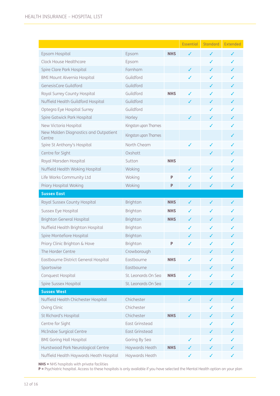|                                                 |                       |            | <b>Essential</b> | Standard     | Extended |
|-------------------------------------------------|-----------------------|------------|------------------|--------------|----------|
| Epsom Hospital                                  | Epsom                 | <b>NHS</b> |                  | ✓            | J        |
| Clock House Healthcare                          | Epsom                 |            |                  | ✓            | ✓        |
| Spire Clare Park Hospital                       | Farnham               |            | ✓                | J            | ✓        |
| <b>BMI Mount Alvernia Hospital</b>              | Guildford             |            | ✓                |              |          |
| GenesisCare Guildford                           | Guildford             |            |                  | ✓            | ✓        |
| Royal Surrey County Hospital                    | Guildford             | <b>NHS</b> |                  |              |          |
| Nuffield Health Guildford Hospital              | Guildford             |            | ✓                | ✓            | J        |
| Optegra Eye Hospital Surrey                     | Guildford             |            |                  |              | ✓        |
| Spire Gatwick Park Hospital                     | Horley                |            | J                |              |          |
| New Victoria Hospital                           | Kingston upon Thames  |            |                  | ✓            | ✓        |
| New Malden Diagnostics and Outpatient<br>Centre | Kingston upon Thames  |            |                  |              | ✓        |
| Spire St Anthony's Hospital                     | North Cheam           |            | ✓                | ✓            | ✓        |
| Centre for Sight                                | Oxshott               |            |                  | ✓            | ✓        |
| Royal Marsden Hospital                          | Sutton                | <b>NHS</b> |                  |              |          |
| Nuffield Health Woking Hospital                 | Woking                |            | ✓                | J            | ✓        |
| Life Works Community Ltd                        | Woking                | P          |                  |              |          |
| Priory Hospital Woking                          | Woking                | P          | ✓                | ✓            | ✓        |
| <b>Sussex East</b>                              |                       |            |                  |              |          |
| Royal Sussex County Hospital                    | Brighton              | <b>NHS</b> | ✓                | ✓            | ✓        |
| Sussex Eye Hospital                             | Brighton              | <b>NHS</b> | J                | ✓            |          |
| <b>Brighton General Hospital</b>                | Brighton              | <b>NHS</b> | ✓                | ✓            | J        |
| Nuffield Health Brighton Hospital               | Brighton              |            | ✓                |              |          |
| Spire Montefiore Hospital                       | Brighton              |            |                  |              |          |
| Priory Clinic Brighton & Hove                   | <b>Brighton</b>       | P          | J                | ✓            | ✓        |
| The Horder Centre                               | Crowborough           |            |                  |              |          |
| Eastbourne District General Hospital            | Eastbourne            | <b>NHS</b> |                  |              |          |
| Sportswise                                      | Eastbourne            |            |                  |              |          |
| Conquest Hospital                               | St. Leonards On Sea   | <b>NHS</b> |                  |              |          |
| Spire Sussex Hospital                           | St. Leonards On Sea   |            |                  | ✓            |          |
| <b>Sussex West</b>                              |                       |            |                  |              |          |
| Nuffield Health Chichester Hospital             | Chichester            |            | ✓                | ✓            |          |
| Oving Clinic                                    | Chichester            |            |                  | ✓            |          |
| St Richard's Hospital                           | Chichester            | <b>NHS</b> |                  |              |          |
| Centre for Sight                                | <b>East Grinstead</b> |            |                  |              |          |
| McIndoe Surgical Centre                         | <b>East Grinstead</b> |            |                  |              |          |
| <b>BMI Goring Hall Hospital</b>                 | Goring By Sea         |            |                  |              |          |
| Hurstwood Park Neurological Centre              | Haywards Heath        | <b>NHS</b> | ✓                | ✓            | ✓        |
| Nuffield Health Haywards Heath Hospital         | Haywards Heath        |            | ✓                | $\checkmark$ |          |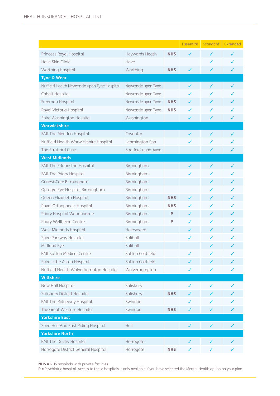|                                              |                     |            | <b>Essential</b> | <b>Standard</b> | Extended |
|----------------------------------------------|---------------------|------------|------------------|-----------------|----------|
| Princess Royal Hospital                      | Haywards Heath      | <b>NHS</b> | ✓                | J               | ✓        |
| Hove Skin Clinic                             | Hove                |            |                  | ✓               | ✓        |
| Worthing Hospital                            | Worthing            | <b>NHS</b> | ✓                | ✓               | ✓        |
| <b>Tyne &amp; Wear</b>                       |                     |            |                  |                 |          |
| Nuffield Health Newcastle upon Tyne Hospital | Newcastle upon Tyne |            | ✓                | $\checkmark$    | ✓        |
| Cobalt Hospital                              | Newcastle upon Tyne |            |                  |                 |          |
| Freeman Hospital                             | Newcastle upon Tyne | <b>NHS</b> | ✓                | ✓               | ✓        |
| Royal Victoria Hospital                      | Newcastle upon Tyne | <b>NHS</b> |                  |                 |          |
| Spire Washington Hospital                    | Washington          |            | ✓                | ✓               | ✓        |
| <b>Warwickshire</b>                          |                     |            |                  |                 |          |
| <b>BMI The Meriden Hospital</b>              | Coventry            |            | ✓                | ✓               | ✓        |
| Nuffield Health Warwickshire Hospital        | Leamington Spa      |            | J                |                 |          |
| The Stratford Clinic                         | Stratford-upon-Avon |            |                  | ✓               | ✓        |
| <b>West Midlands</b>                         |                     |            |                  |                 |          |
| <b>BMI The Edgbaston Hospital</b>            | Birmingham          |            |                  | ✓               | ✓        |
| <b>BMI The Priory Hospital</b>               | Birmingham          |            | ✓                | J               | ✓        |
| GenesisCare Birmingham                       | Birmingham          |            |                  | ✓               |          |
| Optegra Eye Hospital Birmingham              | Birmingham          |            |                  | ✓               |          |
| Queen Elizabeth Hospital                     | Birmingham          | <b>NHS</b> | ✓                | ✓               | ✓        |
| Royal Orthopaedic Hospital                   | Birmingham          | <b>NHS</b> |                  |                 |          |
| Priory Hospital Woodbourne                   | Birmingham          | P          | ✓                | ✓               | ✓        |
| Priory Wellbeing Centre                      | Birmingham          | P          | ✓                |                 |          |
| West Midlands Hospital                       | Halesowen           |            |                  |                 |          |
| Spire Parkway Hospital                       | Solihull            |            | ✓                |                 |          |
| Midland Eye                                  | Solihull            |            |                  | ✓               | ✓        |
| <b>BMI Sutton Medical Centre</b>             | Sutton Coldfield    |            |                  |                 |          |
| Spire Little Aston Hospital                  | Sutton Coldfield    |            |                  |                 |          |
| Nuffield Health Wolverhampton Hospital       | Wolverhampton       |            | ✓                | ✓               | ✓        |
| <b>Wiltshire</b>                             |                     |            |                  |                 |          |
| New Hall Hospital                            | Salisbury           |            | ✓                | ✓               |          |
| Salisbury District Hospital                  | Salisbury           | <b>NHS</b> |                  | ✓               |          |
| <b>BMI The Ridgeway Hospital</b>             | Swindon             |            |                  | ✓               |          |
| The Great Western Hospital                   | Swindon             | <b>NHS</b> | ✓                | ✓               |          |
| <b>Yorkshire East</b>                        |                     |            |                  |                 |          |
| Spire Hull And East Riding Hospital          | Hull                |            | ✓                | ✓               | ✓        |
| <b>Yorkshire North</b>                       |                     |            |                  |                 |          |
| <b>BMI The Duchy Hospital</b>                | Harrogate           |            | ✓                | ✓               |          |
| Harrogate District General Hospital          | Harrogate           | <b>NHS</b> | ✓                | ✓               |          |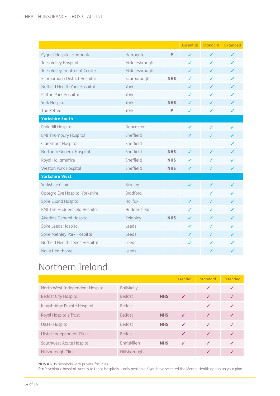|                                      |                 |            | <b>Essential</b> | Standard | Extended |
|--------------------------------------|-----------------|------------|------------------|----------|----------|
| Cygnet Hospital Harrogate            | Harrogate       | P          | ✓                | ✓        | ✓        |
| Tees Valley Hospital                 | Middlesbrough   |            | ✓                | ✓        | ✓        |
| Tees Valley Treatment Centre         | Middlesbrough   |            | ✓                | ✓        | ✓        |
| Scarborough District Hospital        | Scarborough     | <b>NHS</b> | ✓                | J        | J        |
| Nuffield Health York Hospital        | York            |            | ✓                | ✓        | ✓        |
| Clifton Park Hospital                | York            |            | ✓                | ✓        | ✓        |
| York Hospital                        | York            | <b>NHS</b> | ✓                | J        | ✓        |
| The Retreat                          | York            | P          | ✓                | ✓        | ✓        |
| <b>Yorkshire South</b>               |                 |            |                  |          |          |
| Park Hill Hospital                   | Doncaster       |            | ✓                | ✓        | ✓        |
| <b>BMI Thornbury Hospital</b>        | Sheffield       |            | ✓                | ✓        | ✓        |
| Claremont Hospital                   | Sheffield       |            |                  |          | ✓        |
| Northern General Hospital            | Sheffield       | <b>NHS</b> | ✓                | J        | ✓        |
| Royal Hallamshire                    | Sheffield       | <b>NHS</b> | ℐ                | ✓        | ✓        |
| Weston Park Hospital                 | Sheffield       | <b>NHS</b> | ✓                | ✓        | ✓        |
| <b>Yorkshire West</b>                |                 |            |                  |          |          |
| Yorkshire Clinic                     | Bingley         |            | ✓                | ✓        | ✓        |
| Optegra Eye Hospital Yorkshire       | <b>Bradford</b> |            |                  | ✓        | ✓        |
| Spire Elland Hospital                | Halifax         |            | ✓                | ✓        | ✓        |
| <b>BMI The Huddersfield Hospital</b> | Huddersfield    |            |                  | J        | ✓        |
| Airedale General Hospital            | Keighley        | <b>NHS</b> | ✓                | ✓        | ✓        |
| Spire Leeds Hospital                 | Leeds           |            | ✓                | ✓        |          |
| Spire Methley Park Hospital          | Leeds           |            | ✓                | ✓        | ✓        |
| Nuffield Health Leeds Hospital       | Leeds           |            | ✓                | J        | ✓        |
| Nova Healthcare                      | Leeds           |            |                  | ✓        | ✓        |

## Northern Ireland

|                                 |                |            | <b>Essential</b>         | <b>Standard</b> | Extended |
|---------------------------------|----------------|------------|--------------------------|-----------------|----------|
| North West Independent Hospital | Ballykelly     |            |                          | J               | ✓        |
| <b>Belfast City Hospital</b>    | <b>Belfast</b> | <b>NHS</b> | $\overline{\mathcal{L}}$ | J               | J        |
| Kingsbridge Private Hospital    | <b>Belfast</b> |            |                          | J               |          |
| Royal Hospitals Trust           | <b>Belfast</b> | <b>NHS</b> | $\overline{\mathcal{L}}$ | J               |          |
| Ulster Hospital                 | <b>Belfast</b> | <b>NHS</b> | J                        |                 |          |
| Ulster Independent Clinic       | <b>Belfast</b> |            | $\overline{\mathcal{L}}$ | ✓               |          |
| Southwest Acute Hospital        | Enniskillen    | <b>NHS</b> | J                        | J               |          |
| Hillsborough Clinic             | Hillsborough   |            |                          |                 |          |

NHS = NHS hospitals with private facilities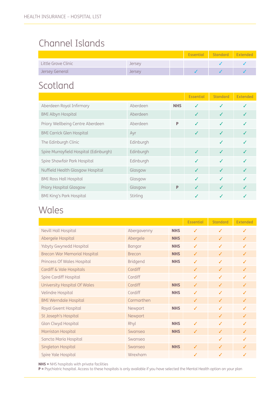### Channel Islands

|                     |               |  | Essential Standard Extended |  |
|---------------------|---------------|--|-----------------------------|--|
| Little Grove Clinic | Jersey        |  |                             |  |
| Jersey General      | <b>Jersey</b> |  |                             |  |

### Scotland

|                                        |           |            | <b>Essential</b> | <b>Standard</b> | <b>Extended</b> |
|----------------------------------------|-----------|------------|------------------|-----------------|-----------------|
| Aberdeen Royal Infirmary               | Aberdeen  | <b>NHS</b> | ✓                | J               |                 |
| <b>BMI Albyn Hospital</b>              | Aberdeen  |            | ✓                | J               |                 |
| Priory Wellbeing Centre Aberdeen       | Aberdeen  | P          | J                | J               |                 |
| <b>BMI Carrick Glen Hospital</b>       | Ayr       |            | ✓                | J               |                 |
| The Edinburgh Clinic                   | Edinburgh |            |                  | J               |                 |
| Spire Murrayfield Hospital (Edinburgh) | Edinburgh |            | $\checkmark$     | J               |                 |
| Spire Shawfair Park Hospital           | Edinburgh |            | J                | J               |                 |
| Nuffield Health Glasgow Hospital       | Glasgow   |            | J                | $\checkmark$    |                 |
| <b>BMI Ross Hall Hospital</b>          | Glasgow   |            | J                | J               |                 |
| Priory Hospital Glasgow                | Glasgow   | P          | $\checkmark$     | ✓               |                 |
| <b>BMI King's Park Hospital</b>        | Stirling  |            | J                |                 |                 |

### **Wales**

|                                     |               |            | <b>Essential</b> | <b>Standard</b> | Extended     |
|-------------------------------------|---------------|------------|------------------|-----------------|--------------|
| Nevill Hall Hospital                | Abergavenny   | <b>NHS</b> | ✓                | $\checkmark$    | $\checkmark$ |
| Abergele Hospital                   | Abergele      | <b>NHS</b> | $\checkmark$     | $\checkmark$    | $\checkmark$ |
| Ysbyty Gwynedd Hospital             | Bangor        | <b>NHS</b> | ✓                | $\checkmark$    | ✓            |
| <b>Brecon War Memorial Hospital</b> | <b>Brecon</b> | <b>NHS</b> | $\checkmark$     | $\checkmark$    | J            |
| Princess Of Wales Hospital          | Bridgend      | <b>NHS</b> | ✓                | ✓               | J            |
| Cardiff & Vale Hospitals            | Cardiff       |            | ✓                | ✓               | J            |
| Spire Cardiff Hospital              | Cardiff       |            | ✓                | ✓               | ✓            |
| University Hospital Of Wales        | Cardiff       | <b>NHS</b> | ✓                | ✓               | ✓            |
| Velindre Hospital                   | Cardiff       | <b>NHS</b> | ✓                | ✓               | $\checkmark$ |
| <b>BMI Werndale Hospital</b>        | Carmarthen    |            | ✓                | $\checkmark$    | ✓            |
| Royal Gwent Hospital                | Newport       | <b>NHS</b> | ✓                | $\checkmark$    | ✓            |
| St Joseph's Hospital                | Newport       |            |                  | $\checkmark$    | $\checkmark$ |
| Glan Clwyd Hospital                 | Rhyl          | <b>NHS</b> | $\checkmark$     | $\checkmark$    | ✓            |
| Morriston Hospital                  | Swansea       | <b>NHS</b> | ✓                | $\checkmark$    | ✓            |
| Sancta Maria Hospital               | Swansea       |            |                  | ✓               | ✓            |
| Singleton Hospital                  | Swansea       | <b>NHS</b> | ✓                | ✓               | ✓            |
| Spire Yale Hospital                 | Wrexham       |            | ✓                | ✓               | ✓            |

NHS = NHS hospitals with private facilities